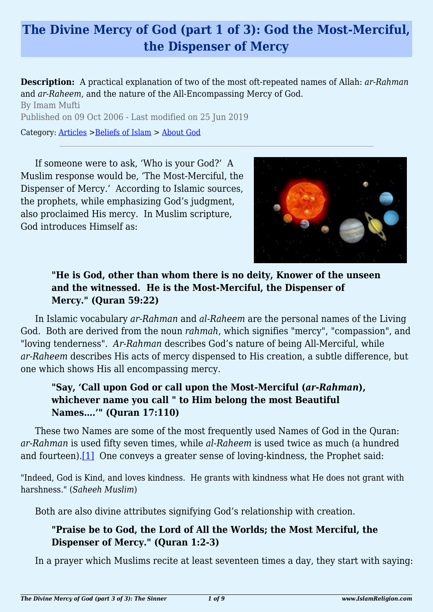# **The Divine Mercy of God (part 1 of 3): God the Most-Merciful, the Dispenser of Mercy**

**Description:** A practical explanation of two of the most oft-repeated names of Allah: *ar-Rahman* and *ar-Raheem*, and the nature of the All-Encompassing Mercy of God.

By Imam Mufti Published on 09 Oct 2006 - Last modified on 25 Jun 2019

Category: [Articles](http://www.islamreligion.com/articles/) >[Beliefs of Islam](http://www.islamreligion.com/category/48/) > [About God](http://www.islamreligion.com/category/51/)

If someone were to ask, 'Who is your God?' A Muslim response would be, 'The Most-Merciful, the Dispenser of Mercy.' According to Islamic sources, the prophets, while emphasizing God's judgment, also proclaimed His mercy. In Muslim scripture, God introduces Himself as:



# **"He is God, other than whom there is no deity, Knower of the unseen and the witnessed. He is the Most-Merciful, the Dispenser of Mercy." (Quran 59:22)**

In Islamic vocabulary *ar-Rahman* and *al-Raheem* are the personal names of the Living God. Both are derived from the noun *rahmah*, which signifies "mercy", "compassion", and "loving tenderness". *Ar-Rahman* describes God's nature of being All-Merciful, while *ar-Raheem* describes His acts of mercy dispensed to His creation, a subtle difference, but one which shows His all encompassing mercy.

## **"Say, 'Call upon God or call upon the Most-Merciful (***ar-Rahman***), whichever name you call " to Him belong the most Beautiful Names….'" (Quran 17:110)**

These two Names are some of the most frequently used Names of God in the Quran: *ar-Rahman* is used fifty seven times, while *al-Raheem* is used twice as much (a hundred and fourteen).<sup>[\[1\]](#page-2-0)</sup> One conveys a greater sense of loving-kindness, the Prophet said:

<span id="page-0-0"></span>"Indeed, God is Kind, and loves kindness. He grants with kindness what He does not grant with harshness." (*Saheeh Muslim*)

Both are also divine attributes signifying God's relationship with creation.

# **"Praise be to God, the Lord of All the Worlds; the Most Merciful, the Dispenser of Mercy." (Quran 1:2-3)**

In a prayer which Muslims recite at least seventeen times a day, they start with saying: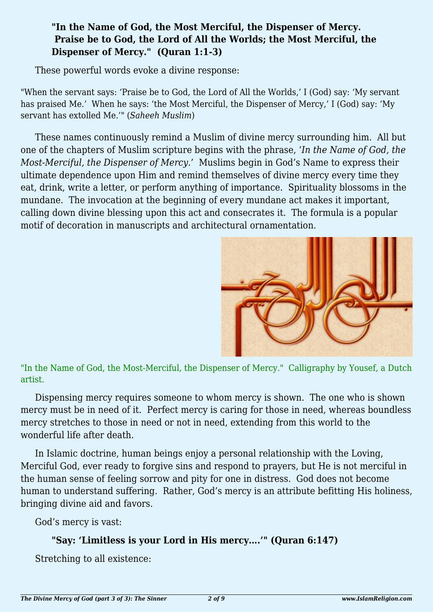## **"In the Name of God, the Most Merciful, the Dispenser of Mercy. Praise be to God, the Lord of All the Worlds; the Most Merciful, the Dispenser of Mercy." (Quran 1:1-3)**

These powerful words evoke a divine response:

"When the servant says: 'Praise be to God, the Lord of All the Worlds,' I (God) say: 'My servant has praised Me.' When he says: 'the Most Merciful, the Dispenser of Mercy,' I (God) say: 'My servant has extolled Me.'" (*Saheeh Muslim*)

These names continuously remind a Muslim of divine mercy surrounding him. All but one of the chapters of Muslim scripture begins with the phrase, '*In the Name of God, the Most-Merciful, the Dispenser of Mercy.*' Muslims begin in God's Name to express their ultimate dependence upon Him and remind themselves of divine mercy every time they eat, drink, write a letter, or perform anything of importance. Spirituality blossoms in the mundane. The invocation at the beginning of every mundane act makes it important, calling down divine blessing upon this act and consecrates it. The formula is a popular motif of decoration in manuscripts and architectural ornamentation.



"In the Name of God, the Most-Merciful, the Dispenser of Mercy." Calligraphy by Yousef, a Dutch artist.

Dispensing mercy requires someone to whom mercy is shown. The one who is shown mercy must be in need of it. Perfect mercy is caring for those in need, whereas boundless mercy stretches to those in need or not in need, extending from this world to the wonderful life after death.

In Islamic doctrine, human beings enjoy a personal relationship with the Loving, Merciful God, ever ready to forgive sins and respond to prayers, but He is not merciful in the human sense of feeling sorrow and pity for one in distress. God does not become human to understand suffering. Rather, God's mercy is an attribute befitting His holiness, bringing divine aid and favors.

God's mercy is vast:

# **"Say: 'Limitless is your Lord in His mercy….'" (Quran 6:147)**

Stretching to all existence: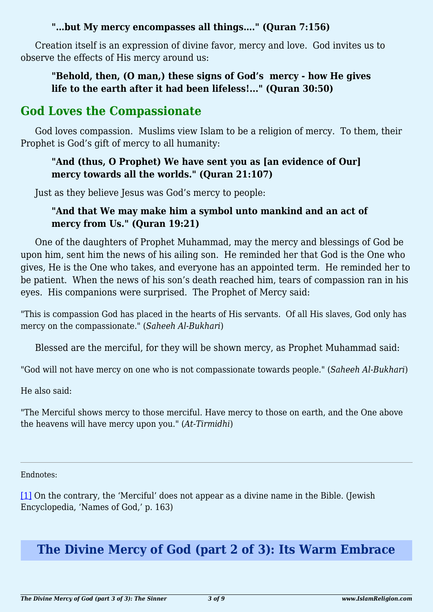## **"…but My mercy encompasses all things…." (Quran 7:156)**

Creation itself is an expression of divine favor, mercy and love. God invites us to observe the effects of His mercy around us:

## **"Behold, then, (O man,) these signs of God's mercy - how He gives life to the earth after it had been lifeless!..." (Quran 30:50)**

# **God Loves the Compassionate**

God loves compassion. Muslims view Islam to be a religion of mercy. To them, their Prophet is God's gift of mercy to all humanity:

## **"And (thus, O Prophet) We have sent you as [an evidence of Our] mercy towards all the worlds." (Quran 21:107)**

Just as they believe Jesus was God's mercy to people:

## **"And that We may make him a symbol unto mankind and an act of mercy from Us." (Quran 19:21)**

One of the daughters of Prophet Muhammad, may the mercy and blessings of God be upon him, sent him the news of his ailing son. He reminded her that God is the One who gives, He is the One who takes, and everyone has an appointed term. He reminded her to be patient. When the news of his son's death reached him, tears of compassion ran in his eyes. His companions were surprised. The Prophet of Mercy said:

"This is compassion God has placed in the hearts of His servants. Of all His slaves, God only has mercy on the compassionate." (*Saheeh Al-Bukhari*)

Blessed are the merciful, for they will be shown mercy, as Prophet Muhammad said:

"God will not have mercy on one who is not compassionate towards people." (*Saheeh Al-Bukhari*)

He also said:

"The Merciful shows mercy to those merciful. Have mercy to those on earth, and the One above the heavens will have mercy upon you." (*At-Tirmidhi*)

<span id="page-2-0"></span>Endnotes:

[\[1\]](#page-0-0) On the contrary, the 'Merciful' does not appear as a divine name in the Bible. (Jewish Encyclopedia, 'Names of God,' p. 163)

# **The Divine Mercy of God (part 2 of 3): Its Warm Embrace**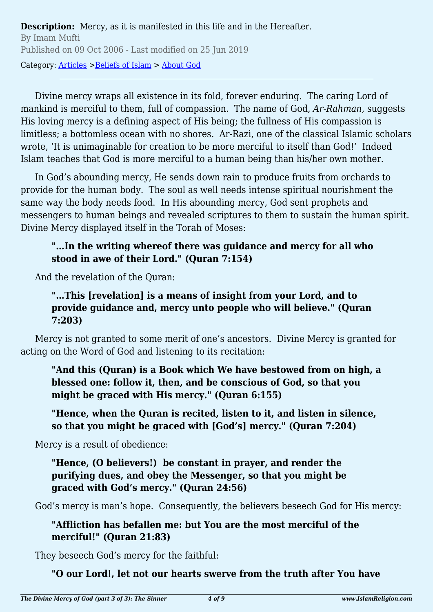**Description:** Mercy, as it is manifested in this life and in the Hereafter. By Imam Mufti Published on 09 Oct 2006 - Last modified on 25 Jun 2019 Category: [Articles](http://www.islamreligion.com/articles/) >[Beliefs of Islam](http://www.islamreligion.com/category/48/) > [About God](http://www.islamreligion.com/category/51/)

Divine mercy wraps all existence in its fold, forever enduring. The caring Lord of mankind is merciful to them, full of compassion. The name of God, *Ar-Rahman*, suggests His loving mercy is a defining aspect of His being; the fullness of His compassion is limitless; a bottomless ocean with no shores. Ar-Razi, one of the classical Islamic scholars wrote, 'It is unimaginable for creation to be more merciful to itself than God!' Indeed Islam teaches that God is more merciful to a human being than his/her own mother.

In God's abounding mercy, He sends down rain to produce fruits from orchards to provide for the human body. The soul as well needs intense spiritual nourishment the same way the body needs food. In His abounding mercy, God sent prophets and messengers to human beings and revealed scriptures to them to sustain the human spirit. Divine Mercy displayed itself in the Torah of Moses:

#### **"…In the writing whereof there was guidance and mercy for all who stood in awe of their Lord." (Quran 7:154)**

And the revelation of the Quran:

### **"…This [revelation] is a means of insight from your Lord, and to provide guidance and, mercy unto people who will believe." (Quran 7:203)**

Mercy is not granted to some merit of one's ancestors. Divine Mercy is granted for acting on the Word of God and listening to its recitation:

**"And this (Quran) is a Book which We have bestowed from on high, a blessed one: follow it, then, and be conscious of God, so that you might be graced with His mercy." (Quran 6:155)**

**"Hence, when the Quran is recited, listen to it, and listen in silence, so that you might be graced with [God's] mercy." (Quran 7:204)**

Mercy is a result of obedience:

**"Hence, (O believers!) be constant in prayer, and render the purifying dues, and obey the Messenger, so that you might be graced with God's mercy." (Quran 24:56)**

God's mercy is man's hope. Consequently, the believers beseech God for His mercy:

## **"Affliction has befallen me: but You are the most merciful of the merciful!" (Quran 21:83)**

They beseech God's mercy for the faithful:

# **"O our Lord!, let not our hearts swerve from the truth after You have**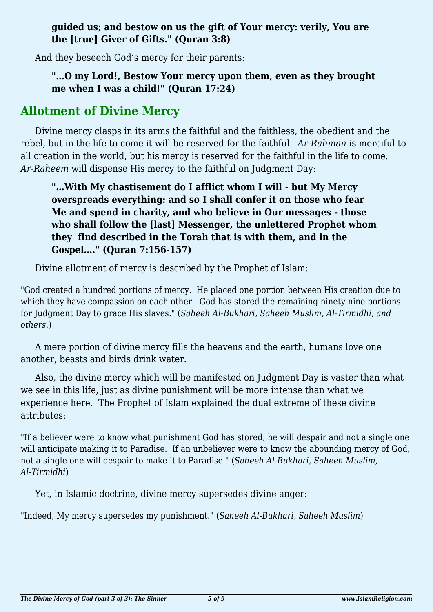## **guided us; and bestow on us the gift of Your mercy: verily, You are the [true] Giver of Gifts." (Quran 3:8)**

And they beseech God's mercy for their parents:

## **"…O my Lord!, Bestow Your mercy upon them, even as they brought me when I was a child!" (Quran 17:24)**

# **Allotment of Divine Mercy**

Divine mercy clasps in its arms the faithful and the faithless, the obedient and the rebel, but in the life to come it will be reserved for the faithful. *Ar-Rahman* is merciful to all creation in the world, but his mercy is reserved for the faithful in the life to come. *Ar-Raheem* will dispense His mercy to the faithful on Judgment Day:

**"…With My chastisement do I afflict whom I will - but My Mercy overspreads everything: and so I shall confer it on those who fear Me and spend in charity, and who believe in Our messages - those who shall follow the [last] Messenger, the unlettered Prophet whom they find described in the Torah that is with them, and in the Gospel…." (Quran 7:156-157)**

Divine allotment of mercy is described by the Prophet of Islam:

"God created a hundred portions of mercy. He placed one portion between His creation due to which they have compassion on each other. God has stored the remaining ninety nine portions for Judgment Day to grace His slaves." (*Saheeh Al-Bukhari, Saheeh Muslim, Al-Tirmidhi, and others.*)

A mere portion of divine mercy fills the heavens and the earth, humans love one another, beasts and birds drink water.

Also, the divine mercy which will be manifested on Judgment Day is vaster than what we see in this life, just as divine punishment will be more intense than what we experience here. The Prophet of Islam explained the dual extreme of these divine attributes:

"If a believer were to know what punishment God has stored, he will despair and not a single one will anticipate making it to Paradise. If an unbeliever were to know the abounding mercy of God, not a single one will despair to make it to Paradise." (*Saheeh Al-Bukhari, Saheeh Muslim, Al-Tirmidhi*)

Yet, in Islamic doctrine, divine mercy supersedes divine anger:

"Indeed, My mercy supersedes my punishment." (*Saheeh Al-Bukhari, Saheeh Muslim*)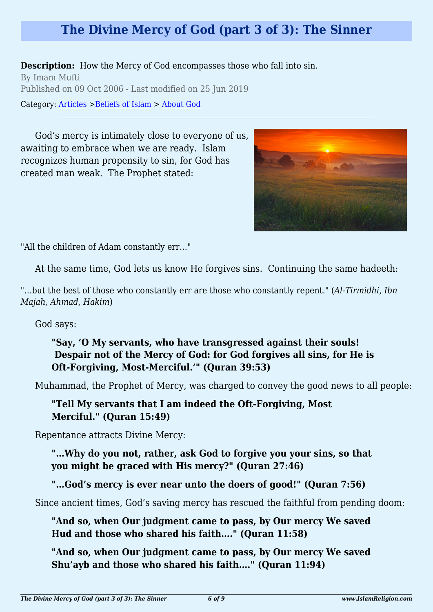# **The Divine Mercy of God (part 3 of 3): The Sinner**

**Description:** How the Mercy of God encompasses those who fall into sin. By Imam Mufti Published on 09 Oct 2006 - Last modified on 25 Jun 2019 Category: [Articles](http://www.islamreligion.com/articles/) >[Beliefs of Islam](http://www.islamreligion.com/category/48/) > [About God](http://www.islamreligion.com/category/51/)

God's mercy is intimately close to everyone of us, awaiting to embrace when we are ready. Islam recognizes human propensity to sin, for God has created man weak. The Prophet stated:



"All the children of Adam constantly err…"

At the same time, God lets us know He forgives sins. Continuing the same hadeeth:

"…but the best of those who constantly err are those who constantly repent." (*Al-Tirmidhi, Ibn Majah, Ahmad, Hakim*)

God says:

**"Say, 'O My servants, who have transgressed against their souls! Despair not of the Mercy of God: for God forgives all sins, for He is Oft-Forgiving, Most-Merciful.'" (Quran 39:53)**

Muhammad, the Prophet of Mercy, was charged to convey the good news to all people:

**"Tell My servants that I am indeed the Oft-Forgiving, Most Merciful." (Quran 15:49)**

Repentance attracts Divine Mercy:

**"…Why do you not, rather, ask God to forgive you your sins, so that you might be graced with His mercy?" (Quran 27:46)**

**"…God's mercy is ever near unto the doers of good!" (Quran 7:56)**

Since ancient times, God's saving mercy has rescued the faithful from pending doom:

**"And so, when Our judgment came to pass, by Our mercy We saved Hud and those who shared his faith…." (Quran 11:58)**

**"And so, when Our judgment came to pass, by Our mercy We saved Shu'ayb and those who shared his faith…." (Quran 11:94)**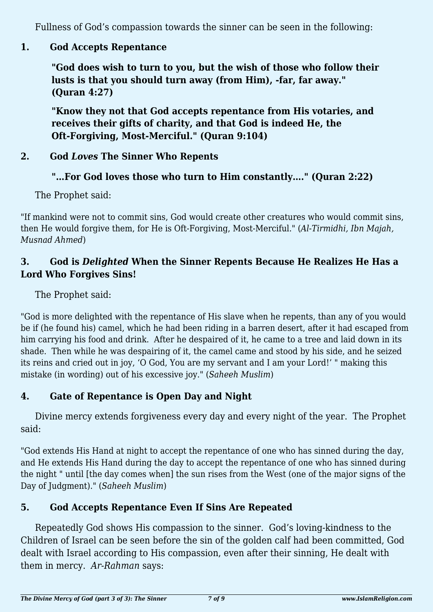Fullness of God's compassion towards the sinner can be seen in the following:

# **1. God Accepts Repentance**

**"God does wish to turn to you, but the wish of those who follow their lusts is that you should turn away (from Him), -far, far away." (Quran 4:27)**

**"Know they not that God accepts repentance from His votaries, and receives their gifts of charity, and that God is indeed He, the Oft-Forgiving, Most-Merciful." (Quran 9:104)**

# **2. God** *Loves* **The Sinner Who Repents**

# **"…For God loves those who turn to Him constantly…." (Quran 2:22)**

The Prophet said:

"If mankind were not to commit sins, God would create other creatures who would commit sins, then He would forgive them, for He is Oft-Forgiving, Most-Merciful." (*Al-Tirmidhi, Ibn Majah, Musnad Ahmed*)

# **3. God is** *Delighted* **When the Sinner Repents Because He Realizes He Has a Lord Who Forgives Sins!**

The Prophet said:

"God is more delighted with the repentance of His slave when he repents, than any of you would be if (he found his) camel, which he had been riding in a barren desert, after it had escaped from him carrying his food and drink. After he despaired of it, he came to a tree and laid down in its shade. Then while he was despairing of it, the camel came and stood by his side, and he seized its reins and cried out in joy, 'O God, You are my servant and I am your Lord!' " making this mistake (in wording) out of his excessive joy." (*Saheeh Muslim*)

# **4. Gate of Repentance is Open Day and Night**

Divine mercy extends forgiveness every day and every night of the year. The Prophet said:

"God extends His Hand at night to accept the repentance of one who has sinned during the day, and He extends His Hand during the day to accept the repentance of one who has sinned during the night " until [the day comes when] the sun rises from the West (one of the major signs of the Day of Judgment)." (*Saheeh Muslim*)

# **5. God Accepts Repentance Even If Sins Are Repeated**

Repeatedly God shows His compassion to the sinner. God's loving-kindness to the Children of Israel can be seen before the sin of the golden calf had been committed, God dealt with Israel according to His compassion, even after their sinning, He dealt with them in mercy. *Ar-Rahman* says: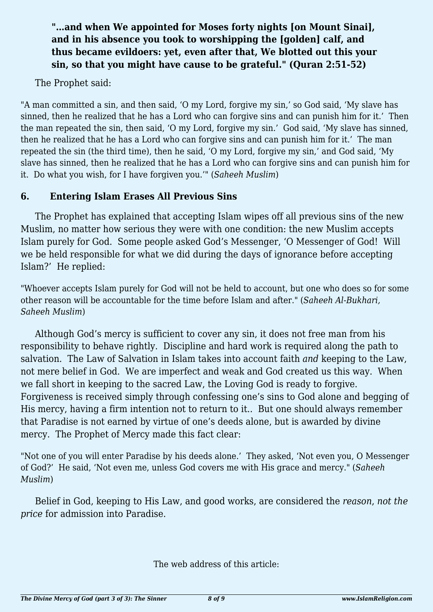# **"…and when We appointed for Moses forty nights [on Mount Sinai], and in his absence you took to worshipping the [golden] calf, and thus became evildoers: yet, even after that, We blotted out this your sin, so that you might have cause to be grateful." (Quran 2:51-52)**

The Prophet said:

"A man committed a sin, and then said, 'O my Lord, forgive my sin,' so God said, 'My slave has sinned, then he realized that he has a Lord who can forgive sins and can punish him for it.' Then the man repeated the sin, then said, 'O my Lord, forgive my sin.' God said, 'My slave has sinned, then he realized that he has a Lord who can forgive sins and can punish him for it.' The man repeated the sin (the third time), then he said, 'O my Lord, forgive my sin,' and God said, 'My slave has sinned, then he realized that he has a Lord who can forgive sins and can punish him for it. Do what you wish, for I have forgiven you.'" (*Saheeh Muslim*)

#### **6. Entering Islam Erases All Previous Sins**

The Prophet has explained that accepting Islam wipes off all previous sins of the new Muslim, no matter how serious they were with one condition: the new Muslim accepts Islam purely for God. Some people asked God's Messenger, 'O Messenger of God! Will we be held responsible for what we did during the days of ignorance before accepting Islam?' He replied:

"Whoever accepts Islam purely for God will not be held to account, but one who does so for some other reason will be accountable for the time before Islam and after." (*Saheeh Al-Bukhari, Saheeh Muslim*)

Although God's mercy is sufficient to cover any sin, it does not free man from his responsibility to behave rightly. Discipline and hard work is required along the path to salvation. The Law of Salvation in Islam takes into account faith *and* keeping to the Law, not mere belief in God. We are imperfect and weak and God created us this way. When we fall short in keeping to the sacred Law, the Loving God is ready to forgive. Forgiveness is received simply through confessing one's sins to God alone and begging of His mercy, having a firm intention not to return to it.. But one should always remember that Paradise is not earned by virtue of one's deeds alone, but is awarded by divine mercy. The Prophet of Mercy made this fact clear:

"Not one of you will enter Paradise by his deeds alone.' They asked, 'Not even you, O Messenger of God?' He said, 'Not even me, unless God covers me with His grace and mercy." (*Saheeh Muslim*)

Belief in God, keeping to His Law, and good works, are considered the *reason*, *not the price* for admission into Paradise.

The web address of this article: